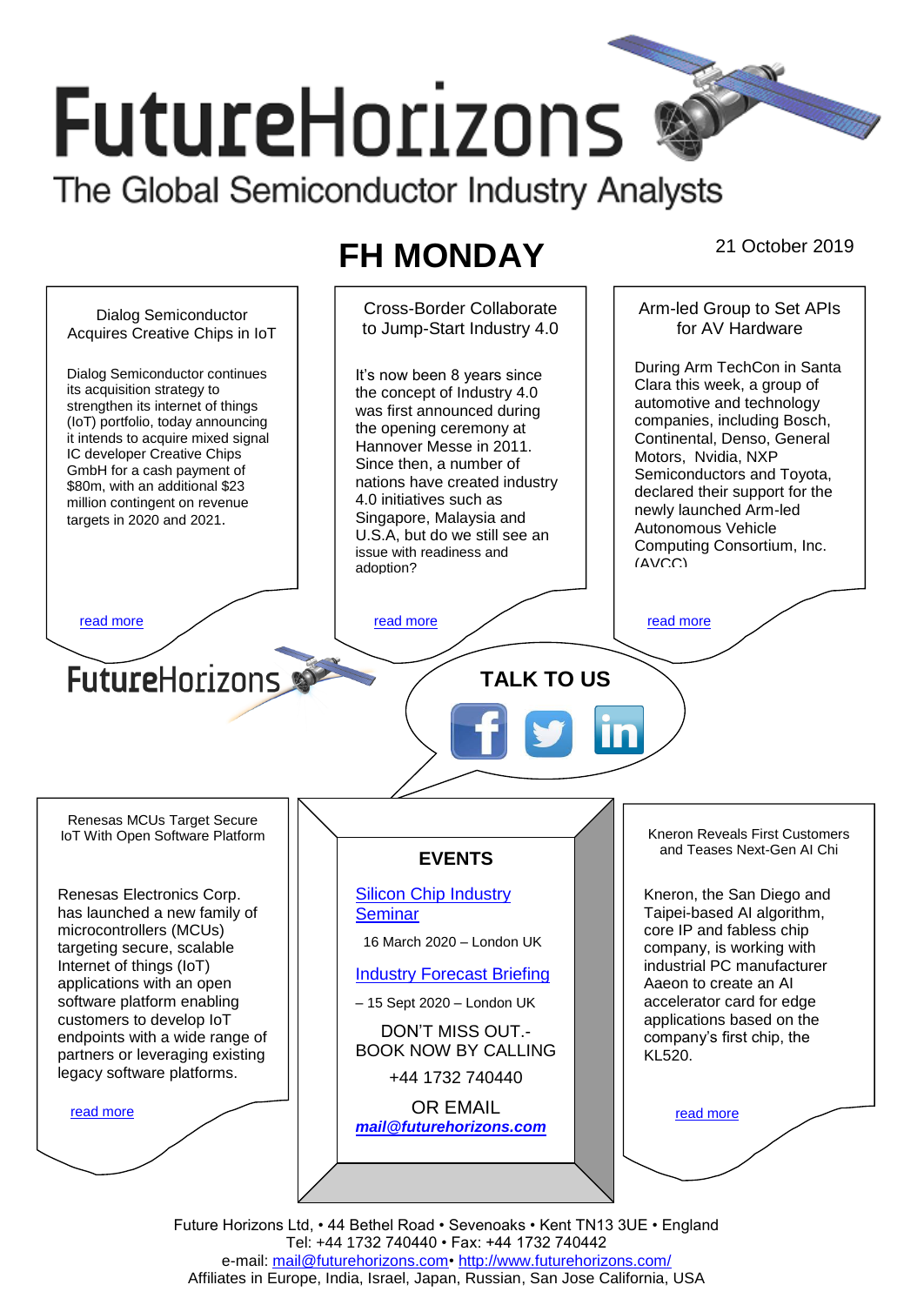# **FutureHorizons**

The Global Semiconductor Industry Analysts

## **FH MONDAY** 21 October 2019



Future Horizons Ltd, • 44 Bethel Road • Sevenoaks • Kent TN13 3UE • England Tel: +44 1732 740440 • Fax: +44 1732 740442 e-mail: [mail@futurehorizons.com•](../FH%20Monday%20-%202017/mail@futurehorizons.com)<http://www.futurehorizons.com/> Affiliates in Europe, India, Israel, Japan, Russian, San Jose California, USA